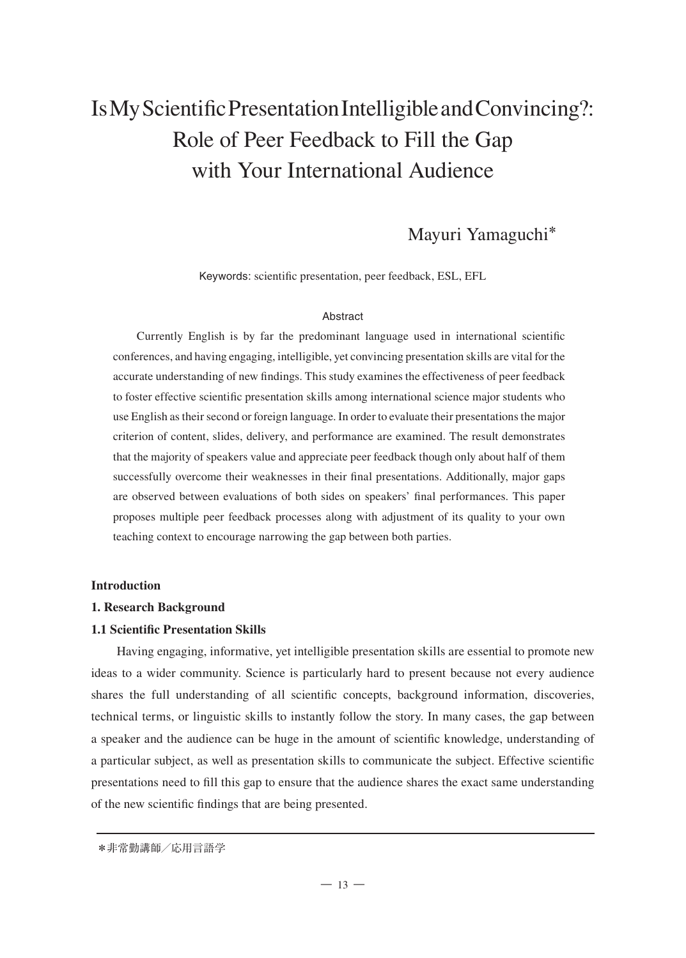# Is My Scientific Presentation Intelligible and Convincing?: Role of Peer Feedback to Fill the Gap with Your International Audience

# Mayuri Yamaguchi**\***

Keywords: scientific presentation, peer feedback, ESL, EFL

#### **Abstract**

Currently English is by far the predominant language used in international scientific conferences, and having engaging, intelligible, yet convincing presentation skills are vital for the accurate understanding of new findings. This study examines the effectiveness of peer feedback to foster effective scientific presentation skills among international science major students who use English as their second or foreign language. In order to evaluate their presentations the major criterion of content, slides, delivery, and performance are examined. The result demonstrates that the majority of speakers value and appreciate peer feedback though only about half of them successfully overcome their weaknesses in their final presentations. Additionally, major gaps are observed between evaluations of both sides on speakers' final performances. This paper proposes multiple peer feedback processes along with adjustment of its quality to your own teaching context to encourage narrowing the gap between both parties.

#### **Introduction**

#### **1. Research Background**

#### **1.1 Scientific Presentation Skills**

Having engaging, informative, yet intelligible presentation skills are essential to promote new ideas to a wider community. Science is particularly hard to present because not every audience shares the full understanding of all scientific concepts, background information, discoveries, technical terms, or linguistic skills to instantly follow the story. In many cases, the gap between a speaker and the audience can be huge in the amount of scientific knowledge, understanding of a particular subject, as well as presentation skills to communicate the subject. Effective scientific presentations need to fill this gap to ensure that the audience shares the exact same understanding of the new scientific findings that are being presented.

 <sup>\*</sup>非常勤講師/応用言語学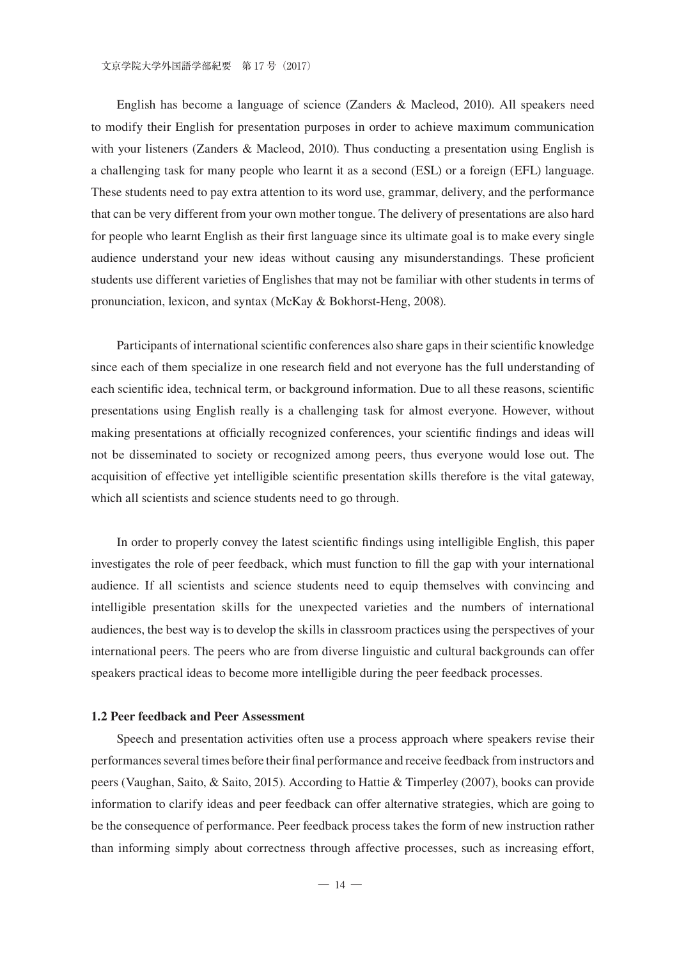English has become a language of science (Zanders & Macleod, 2010). All speakers need to modify their English for presentation purposes in order to achieve maximum communication with your listeners (Zanders & Macleod, 2010). Thus conducting a presentation using English is a challenging task for many people who learnt it as a second (ESL) or a foreign (EFL) language. These students need to pay extra attention to its word use, grammar, delivery, and the performance that can be very different from your own mother tongue. The delivery of presentations are also hard for people who learnt English as their first language since its ultimate goal is to make every single audience understand your new ideas without causing any misunderstandings. These proficient students use different varieties of Englishes that may not be familiar with other students in terms of pronunciation, lexicon, and syntax (McKay & Bokhorst-Heng, 2008).

Participants of international scientific conferences also share gaps in their scientific knowledge since each of them specialize in one research field and not everyone has the full understanding of each scientific idea, technical term, or background information. Due to all these reasons, scientific presentations using English really is a challenging task for almost everyone. However, without making presentations at officially recognized conferences, your scientific findings and ideas will not be disseminated to society or recognized among peers, thus everyone would lose out. The acquisition of effective yet intelligible scientific presentation skills therefore is the vital gateway, which all scientists and science students need to go through.

In order to properly convey the latest scientific findings using intelligible English, this paper investigates the role of peer feedback, which must function to fill the gap with your international audience. If all scientists and science students need to equip themselves with convincing and intelligible presentation skills for the unexpected varieties and the numbers of international audiences, the best way is to develop the skills in classroom practices using the perspectives of your international peers. The peers who are from diverse linguistic and cultural backgrounds can offer speakers practical ideas to become more intelligible during the peer feedback processes.

#### **1.2 Peer feedback and Peer Assessment**

Speech and presentation activities often use a process approach where speakers revise their performances several times before their final performance and receive feedback from instructors and peers (Vaughan, Saito, & Saito, 2015). According to Hattie & Timperley (2007), books can provide information to clarify ideas and peer feedback can offer alternative strategies, which are going to be the consequence of performance. Peer feedback process takes the form of new instruction rather than informing simply about correctness through affective processes, such as increasing effort,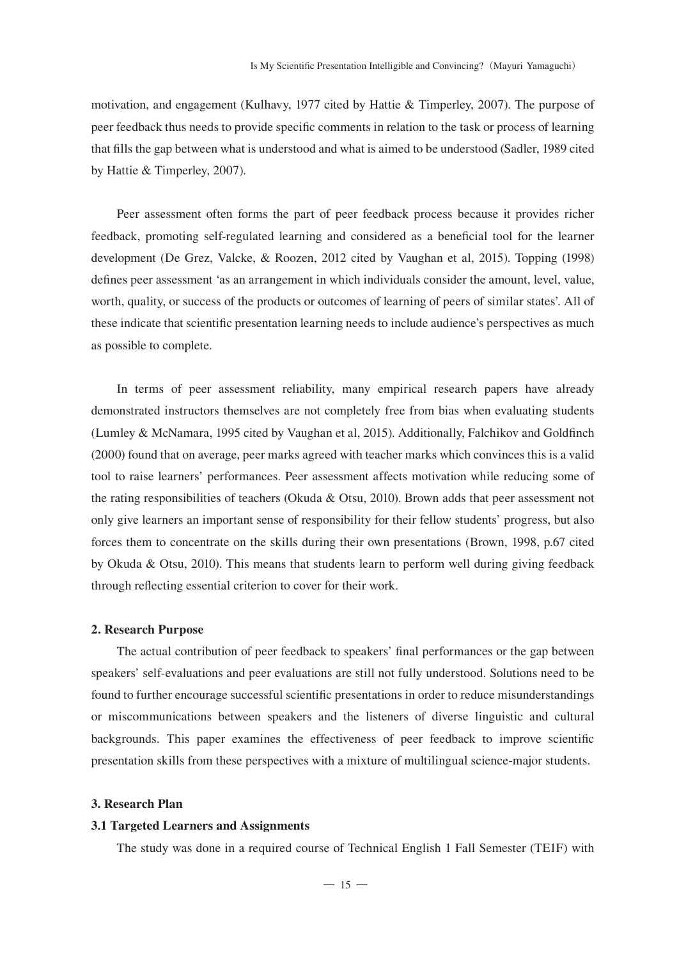motivation, and engagement (Kulhavy, 1977 cited by Hattie & Timperley, 2007). The purpose of peer feedback thus needs to provide specific comments in relation to the task or process of learning that fills the gap between what is understood and what is aimed to be understood (Sadler, 1989 cited by Hattie & Timperley, 2007).

Peer assessment often forms the part of peer feedback process because it provides richer feedback, promoting self-regulated learning and considered as a beneficial tool for the learner development (De Grez, Valcke, & Roozen, 2012 cited by Vaughan et al, 2015). Topping (1998) defines peer assessment 'as an arrangement in which individuals consider the amount, level, value, worth, quality, or success of the products or outcomes of learning of peers of similar states'. All of these indicate that scientific presentation learning needs to include audience's perspectives as much as possible to complete.

In terms of peer assessment reliability, many empirical research papers have already demonstrated instructors themselves are not completely free from bias when evaluating students (Lumley & McNamara, 1995 cited by Vaughan et al, 2015). Additionally, Falchikov and Goldfinch (2000) found that on average, peer marks agreed with teacher marks which convinces this is a valid tool to raise learners' performances. Peer assessment affects motivation while reducing some of the rating responsibilities of teachers (Okuda & Otsu, 2010). Brown adds that peer assessment not only give learners an important sense of responsibility for their fellow students' progress, but also forces them to concentrate on the skills during their own presentations (Brown, 1998, p.67 cited by Okuda & Otsu, 2010). This means that students learn to perform well during giving feedback through reflecting essential criterion to cover for their work.

#### **2. Research Purpose**

The actual contribution of peer feedback to speakers' final performances or the gap between speakers' self-evaluations and peer evaluations are still not fully understood. Solutions need to be found to further encourage successful scientific presentations in order to reduce misunderstandings or miscommunications between speakers and the listeners of diverse linguistic and cultural backgrounds. This paper examines the effectiveness of peer feedback to improve scientific presentation skills from these perspectives with a mixture of multilingual science-major students.

#### **3. Research Plan**

#### **3.1 Targeted Learners and Assignments**

The study was done in a required course of Technical English 1 Fall Semester (TE1F) with

 $-15-$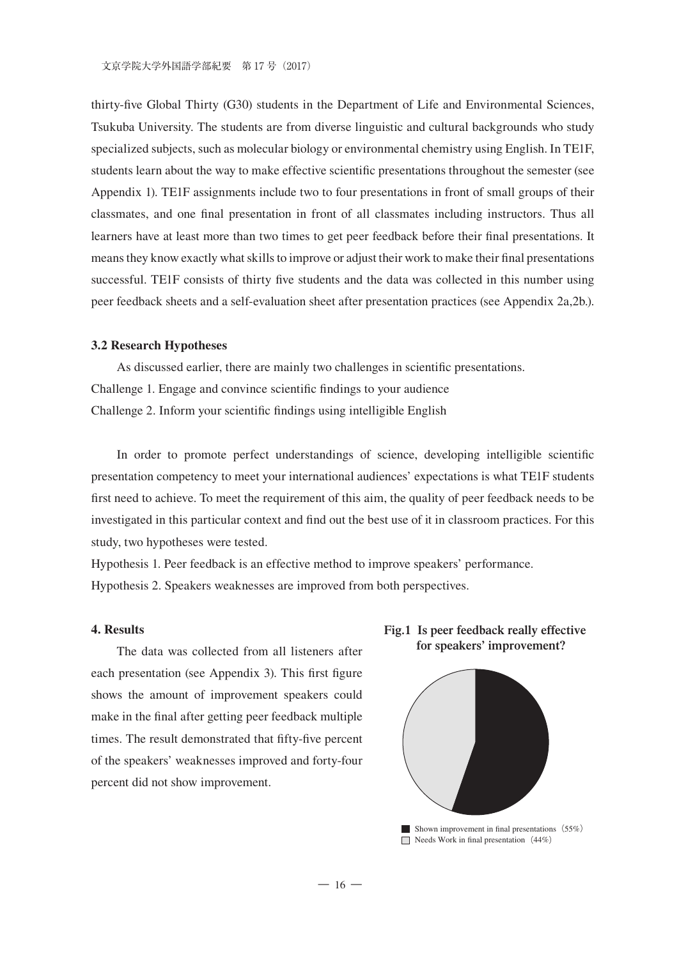thirty-five Global Thirty (G30) students in the Department of Life and Environmental Sciences, Tsukuba University. The students are from diverse linguistic and cultural backgrounds who study specialized subjects, such as molecular biology or environmental chemistry using English. In TE1F, students learn about the way to make effective scientific presentations throughout the semester (see Appendix 1). TE1F assignments include two to four presentations in front of small groups of their classmates, and one final presentation in front of all classmates including instructors. Thus all learners have at least more than two times to get peer feedback before their final presentations. It means they know exactly what skills to improve or adjust their work to make their final presentations successful. TE1F consists of thirty five students and the data was collected in this number using peer feedback sheets and a self-evaluation sheet after presentation practices (see Appendix 2a,2b.).

#### **3.2 Research Hypotheses**

As discussed earlier, there are mainly two challenges in scientific presentations. Challenge 1. Engage and convince scientific findings to your audience Challenge 2. Inform your scientific findings using intelligible English

In order to promote perfect understandings of science, developing intelligible scientific presentation competency to meet your international audiences' expectations is what TE1F students first need to achieve. To meet the requirement of this aim, the quality of peer feedback needs to be investigated in this particular context and find out the best use of it in classroom practices. For this study, two hypotheses were tested.

Hypothesis 1. Peer feedback is an effective method to improve speakers' performance. Hypothesis 2. Speakers weaknesses are improved from both perspectives.

#### **4. Results**

The data was collected from all listeners after each presentation (see Appendix 3). This first figure shows the amount of improvement speakers could make in the final after getting peer feedback multiple times. The result demonstrated that fifty-five percent of the speakers' weaknesses improved and forty-four percent did not show improvement.





Shown improvement in final presentations  $(55%)$  $\Box$  Needs Work in final presentation (44%)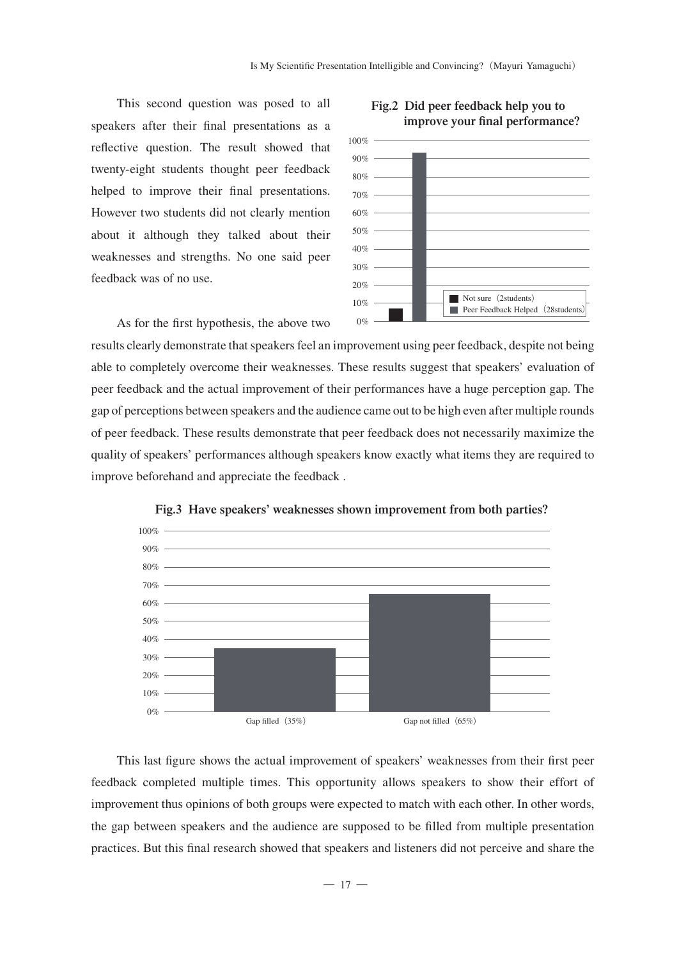This second question was posed to all speakers after their final presentations as a reflective question. The result showed that twenty-eight students thought peer feedback helped to improve their final presentations. However two students did not clearly mention about it although they talked about their weaknesses and strengths. No one said peer feedback was of no use.

As for the first hypothesis, the above two



#### **Fig.2 Did peer feedback help you to improve your final performance?**

results clearly demonstrate that speakers feel an improvement using peer feedback, despite not being able to completely overcome their weaknesses. These results suggest that speakers' evaluation of peer feedback and the actual improvement of their performances have a huge perception gap. The gap of perceptions between speakers and the audience came out to be high even after multiple rounds of peer feedback. These results demonstrate that peer feedback does not necessarily maximize the quality of speakers' performances although speakers know exactly what items they are required to improve beforehand and appreciate the feedback. back. These results demonstrate that per **Fig.3 Have speakers' weaknesses shown improvement from both parties?**



Fig.3 Have speakers' weaknesses shown improvement from both parties?

This last figure shows the actual improvement of speakers' weaknesses from their first peer feedback completed multiple times. This opportunity allows speakers to show their effort of improvement thus opinions of both groups were expected to match with each other. In other words, the gap between speakers and the audience are supposed to be filled from multiple presentation practices. But this final research showed that speakers and listeners did not perceive and share the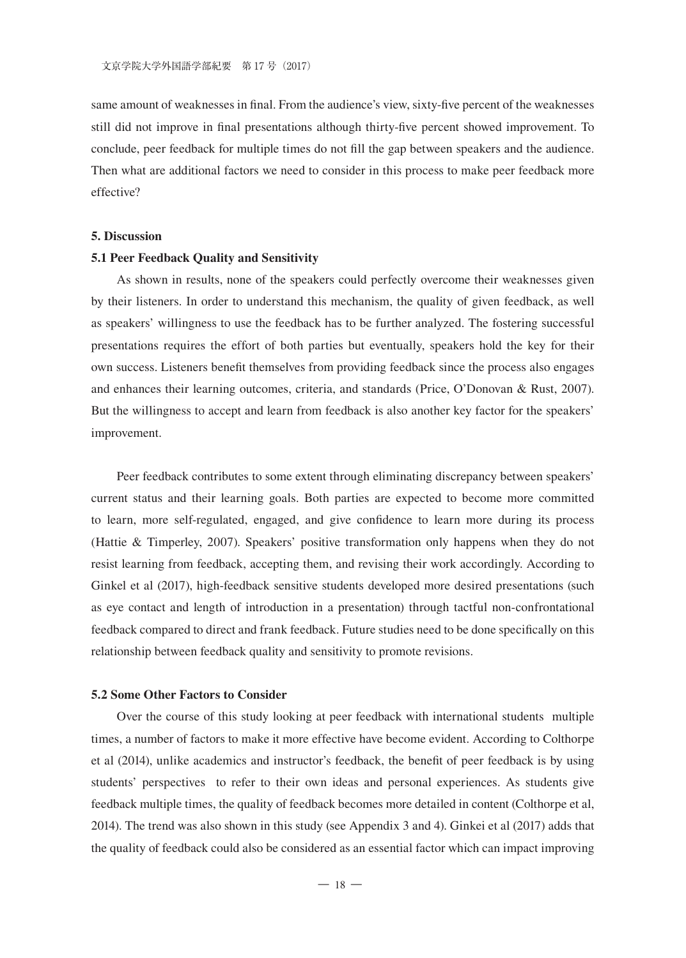same amount of weaknesses in final. From the audience's view, sixty-five percent of the weaknesses still did not improve in final presentations although thirty-five percent showed improvement. To conclude, peer feedback for multiple times do not fill the gap between speakers and the audience. Then what are additional factors we need to consider in this process to make peer feedback more effective?

#### **5. Discussion**

#### **5.1 Peer Feedback Quality and Sensitivity**

As shown in results, none of the speakers could perfectly overcome their weaknesses given by their listeners. In order to understand this mechanism, the quality of given feedback, as well as speakers' willingness to use the feedback has to be further analyzed. The fostering successful presentations requires the effort of both parties but eventually, speakers hold the key for their own success. Listeners benefit themselves from providing feedback since the process also engages and enhances their learning outcomes, criteria, and standards (Price, O'Donovan & Rust, 2007). But the willingness to accept and learn from feedback is also another key factor for the speakers' improvement.

Peer feedback contributes to some extent through eliminating discrepancy between speakers' current status and their learning goals. Both parties are expected to become more committed to learn, more self-regulated, engaged, and give confidence to learn more during its process (Hattie & Timperley, 2007). Speakers' positive transformation only happens when they do not resist learning from feedback, accepting them, and revising their work accordingly. According to Ginkel et al (2017), high-feedback sensitive students developed more desired presentations (such as eye contact and length of introduction in a presentation) through tactful non-confrontational feedback compared to direct and frank feedback. Future studies need to be done specifically on this relationship between feedback quality and sensitivity to promote revisions.

#### **5.2 Some Other Factors to Consider**

Over the course of this study looking at peer feedback with international students multiple times, a number of factors to make it more effective have become evident. According to Colthorpe et al (2014), unlike academics and instructor's feedback, the benefit of peer feedback is by using students' perspectives to refer to their own ideas and personal experiences. As students give feedback multiple times, the quality of feedback becomes more detailed in content (Colthorpe et al, 2014). The trend was also shown in this study (see Appendix 3 and 4). Ginkei et al (2017) adds that the quality of feedback could also be considered as an essential factor which can impact improving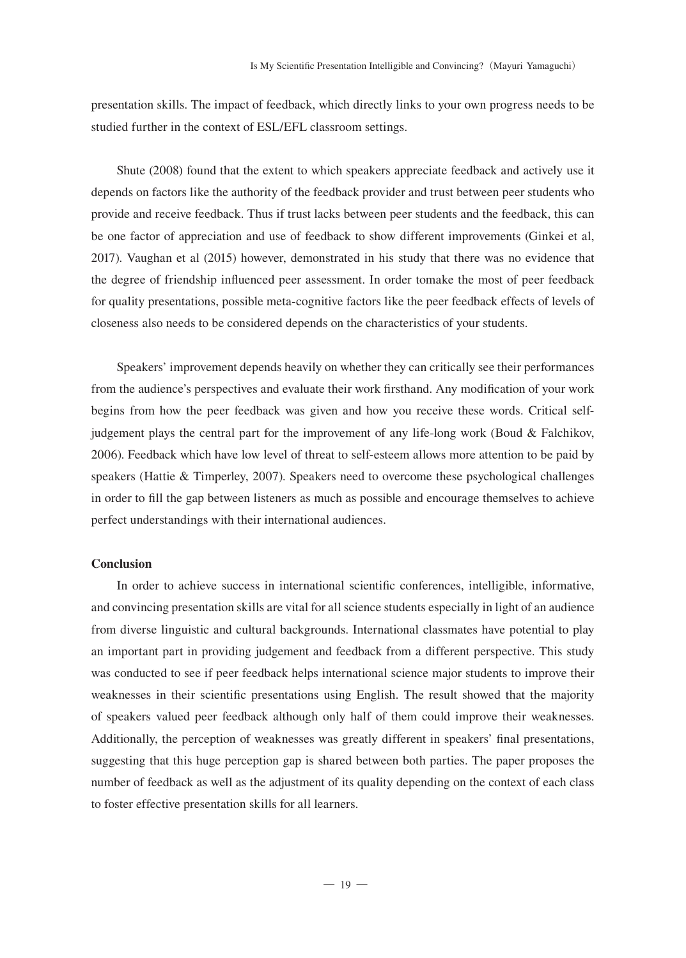presentation skills. The impact of feedback, which directly links to your own progress needs to be studied further in the context of ESL/EFL classroom settings.

Shute (2008) found that the extent to which speakers appreciate feedback and actively use it depends on factors like the authority of the feedback provider and trust between peer students who provide and receive feedback. Thus if trust lacks between peer students and the feedback, this can be one factor of appreciation and use of feedback to show different improvements (Ginkei et al, 2017). Vaughan et al (2015) however, demonstrated in his study that there was no evidence that the degree of friendship influenced peer assessment. In order tomake the most of peer feedback for quality presentations, possible meta-cognitive factors like the peer feedback effects of levels of closeness also needs to be considered depends on the characteristics of your students.

Speakers' improvement depends heavily on whether they can critically see their performances from the audience's perspectives and evaluate their work firsthand. Any modification of your work begins from how the peer feedback was given and how you receive these words. Critical selfjudgement plays the central part for the improvement of any life-long work (Boud & Falchikov, 2006). Feedback which have low level of threat to self-esteem allows more attention to be paid by speakers (Hattie & Timperley, 2007). Speakers need to overcome these psychological challenges in order to fill the gap between listeners as much as possible and encourage themselves to achieve perfect understandings with their international audiences.

#### **Conclusion**

In order to achieve success in international scientific conferences, intelligible, informative, and convincing presentation skills are vital for all science students especially in light of an audience from diverse linguistic and cultural backgrounds. International classmates have potential to play an important part in providing judgement and feedback from a different perspective. This study was conducted to see if peer feedback helps international science major students to improve their weaknesses in their scientific presentations using English. The result showed that the majority of speakers valued peer feedback although only half of them could improve their weaknesses. Additionally, the perception of weaknesses was greatly different in speakers' final presentations, suggesting that this huge perception gap is shared between both parties. The paper proposes the number of feedback as well as the adjustment of its quality depending on the context of each class to foster effective presentation skills for all learners.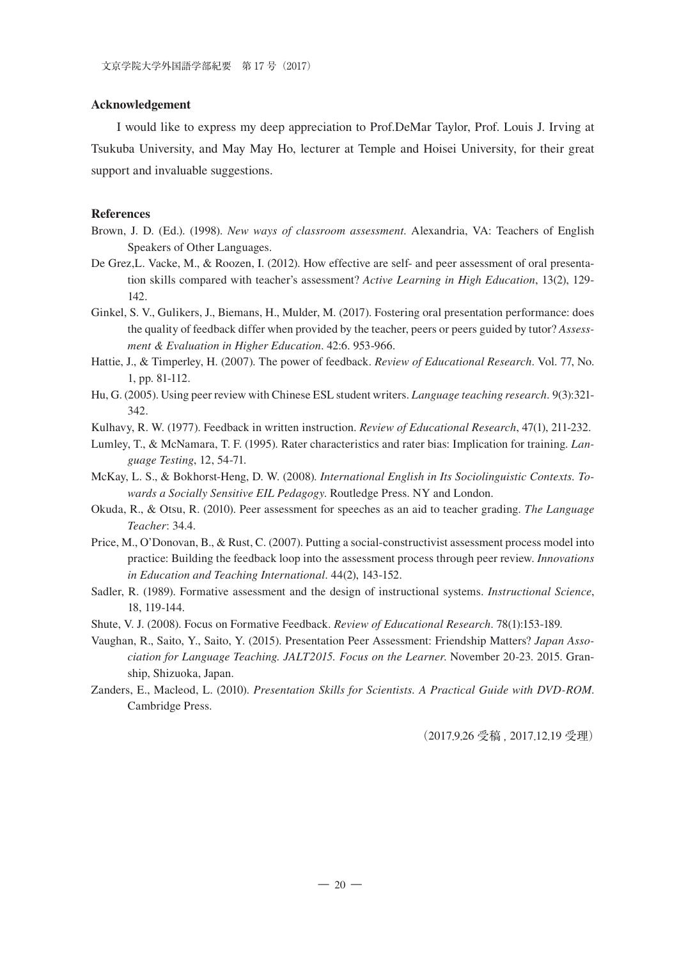#### **Acknowledgement**

I would like to express my deep appreciation to Prof.DeMar Taylor, Prof. Louis J. Irving at Tsukuba University, and May May Ho, lecturer at Temple and Hoisei University, for their great support and invaluable suggestions.

#### **References**

- Brown, J. D. (Ed.). (1998). *New ways of classroom assessment*. Alexandria, VA: Teachers of English Speakers of Other Languages.
- De Grez,L. Vacke, M., & Roozen, I. (2012). How effective are self- and peer assessment of oral presentation skills compared with teacher's assessment? *Active Learning in High Education*, 13(2), 129- 142.
- Ginkel, S. V., Gulikers, J., Biemans, H., Mulder, M. (2017). Fostering oral presentation performance: does the quality of feedback differ when provided by the teacher, peers or peers guided by tutor? *Assessment & Evaluation in Higher Education*. 42:6. 953-966.
- Hattie, J., & Timperley, H. (2007). The power of feedback. *Review of Educational Research*. Vol. 77, No. 1, pp. 81-112.
- Hu, G. (2005). Using peer review with Chinese ESL student writers. *Language teaching research.* 9(3):321- 342.
- Kulhavy, R. W. (1977). Feedback in written instruction. *Review of Educational Research*, 47(1), 211-232.
- Lumley, T., & McNamara, T. F. (1995). Rater characteristics and rater bias: Implication for training. *Language Testing*, 12, 54-71.
- McKay, L. S., & Bokhorst-Heng, D. W. (2008). *International English in Its Sociolinguistic Contexts. Towards a Socially Sensitive EIL Pedagogy*. Routledge Press. NY and London.
- Okuda, R., & Otsu, R. (2010). Peer assessment for speeches as an aid to teacher grading. *The Language Teacher*: 34.4.
- Price, M., O'Donovan, B., & Rust, C. (2007). Putting a social-constructivist assessment process model into practice: Building the feedback loop into the assessment process through peer review. *Innovations in Education and Teaching International*. 44(2), 143-152.
- Sadler, R. (1989). Formative assessment and the design of instructional systems. *Instructional Science*, 18, 119-144.
- Shute, V. J. (2008). Focus on Formative Feedback. *Review of Educational Research*. 78(1):153-189.
- Vaughan, R., Saito, Y., Saito, Y. (2015). Presentation Peer Assessment: Friendship Matters? *Japan Association for Language Teaching. JALT2015. Focus on the Learner*. November 20-23. 2015. Granship, Shizuoka, Japan.
- Zanders, E., Macleod, L. (2010). *Presentation Skills for Scientists. A Practical Guide with DVD-ROM*. Cambridge Press.

(2017.9.26 受稿 , 2017.12.19 受理)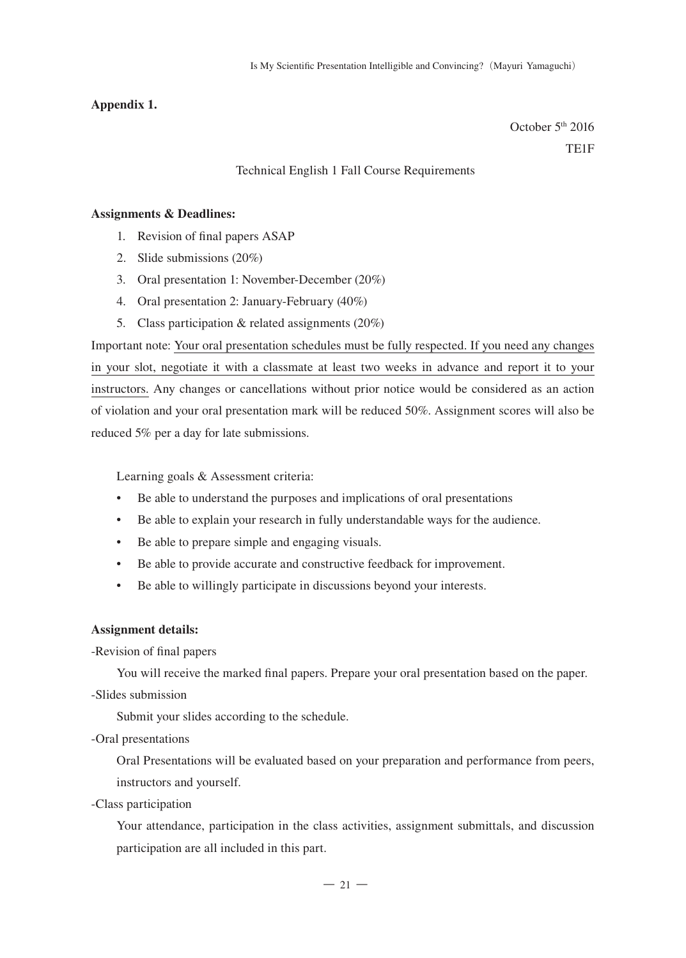#### **Appendix 1.**

October 5th 2016 TE1F

## Technical English 1 Fall Course Requirements

#### **Assignments & Deadlines:**

- 1. Revision of final papers ASAP
- 2. Slide submissions (20%)
- 3. Oral presentation 1: November-December (20%)
- 4. Oral presentation 2: January-February (40%)
- 5. Class participation & related assignments (20%)

Important note: Your oral presentation schedules must be fully respected. If you need any changes in your slot, negotiate it with a classmate at least two weeks in advance and report it to your instructors. Any changes or cancellations without prior notice would be considered as an action of violation and your oral presentation mark will be reduced 50%. Assignment scores will also be reduced 5% per a day for late submissions.

Learning goals & Assessment criteria:

- Be able to understand the purposes and implications of oral presentations
- Be able to explain your research in fully understandable ways for the audience.
- Be able to prepare simple and engaging visuals.
- Be able to provide accurate and constructive feedback for improvement.
- Be able to willingly participate in discussions beyond your interests.

#### **Assignment details:**

-Revision of final papers

You will receive the marked final papers. Prepare your oral presentation based on the paper.

-Slides submission

Submit your slides according to the schedule.

-Oral presentations

Oral Presentations will be evaluated based on your preparation and performance from peers, instructors and yourself.

-Class participation

Your attendance, participation in the class activities, assignment submittals, and discussion participation are all included in this part.

 $-21-$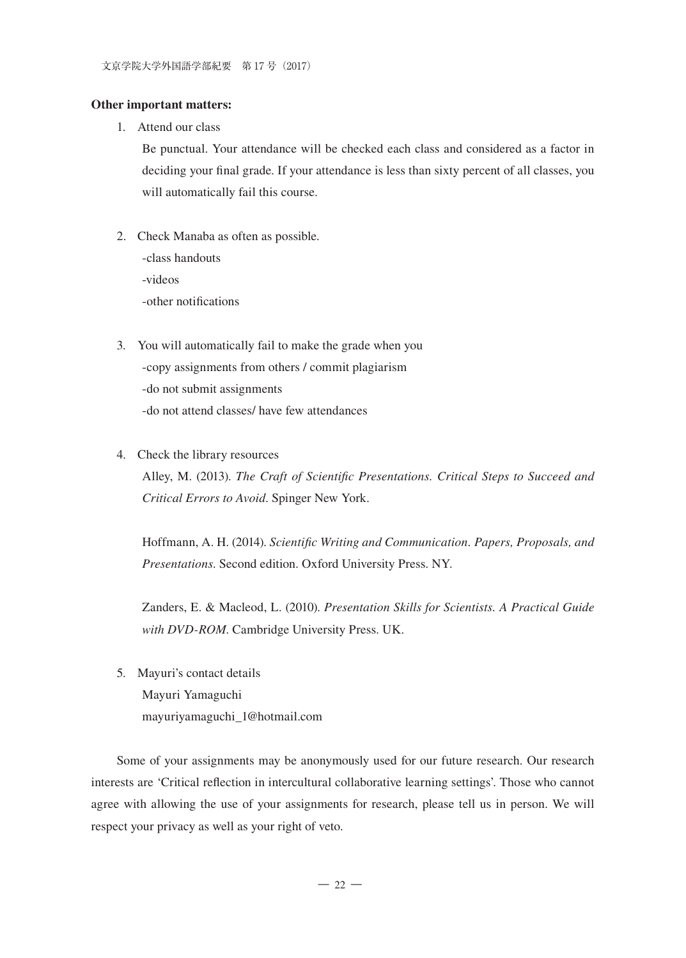#### **Other important matters:**

1. Attend our class

Be punctual. Your attendance will be checked each class and considered as a factor in deciding your final grade. If your attendance is less than sixty percent of all classes, you will automatically fail this course.

- 2. Check Manaba as often as possible. -class handouts -videos -other notifications
- 3. You will automatically fail to make the grade when you -copy assignments from others / commit plagiarism -do not submit assignments -do not attend classes/ have few attendances
- 4. Check the library resources

Alley, M. (2013). *The Craft of Scientific Presentations. Critical Steps to Succeed and Critical Errors to Avoid*. Spinger New York.

Hoffmann, A. H. (2014). *Scientific Writing and Communication. Papers, Proposals, and Presentations*. Second edition. Oxford University Press. NY.

Zanders, E. & Macleod, L. (2010). *Presentation Skills for Scientists. A Practical Guide with DVD-ROM*. Cambridge University Press. UK.

5. Mayuri's contact details Mayuri Yamaguchi mayuriyamaguchi\_1@hotmail.com

Some of your assignments may be anonymously used for our future research. Our research interests are 'Critical reflection in intercultural collaborative learning settings'. Those who cannot agree with allowing the use of your assignments for research, please tell us in person. We will respect your privacy as well as your right of veto.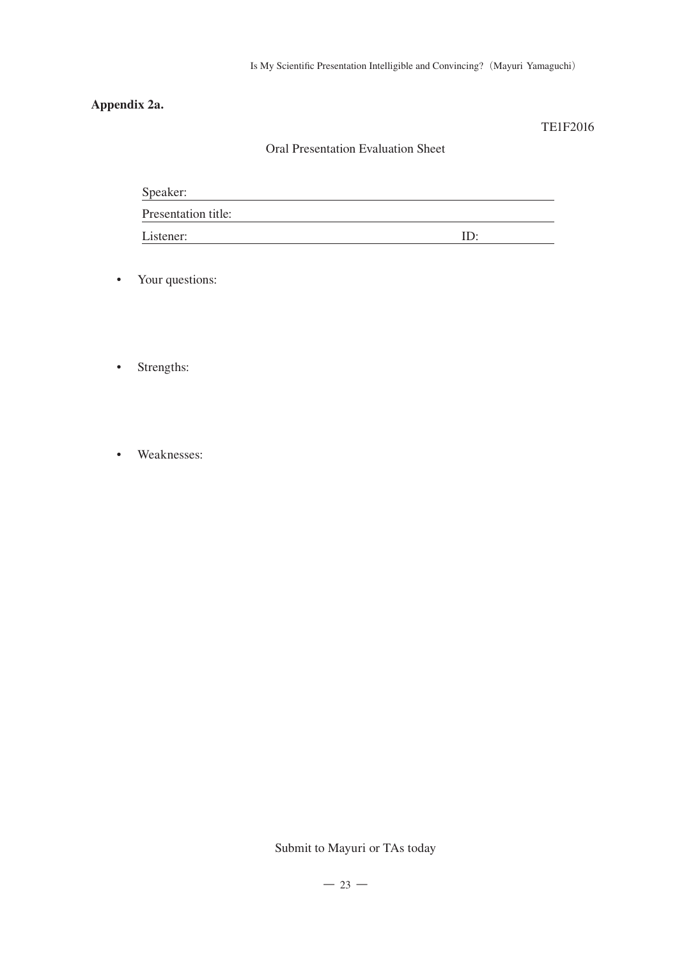## **Appendix 2a.**

### TE1F2016

## Oral Presentation Evaluation Sheet

| Speaker:            |  |
|---------------------|--|
| Presentation title: |  |
| Listener:           |  |

- Your questions:
- Strengths:
- Weaknesses:

Submit to Mayuri or TAs today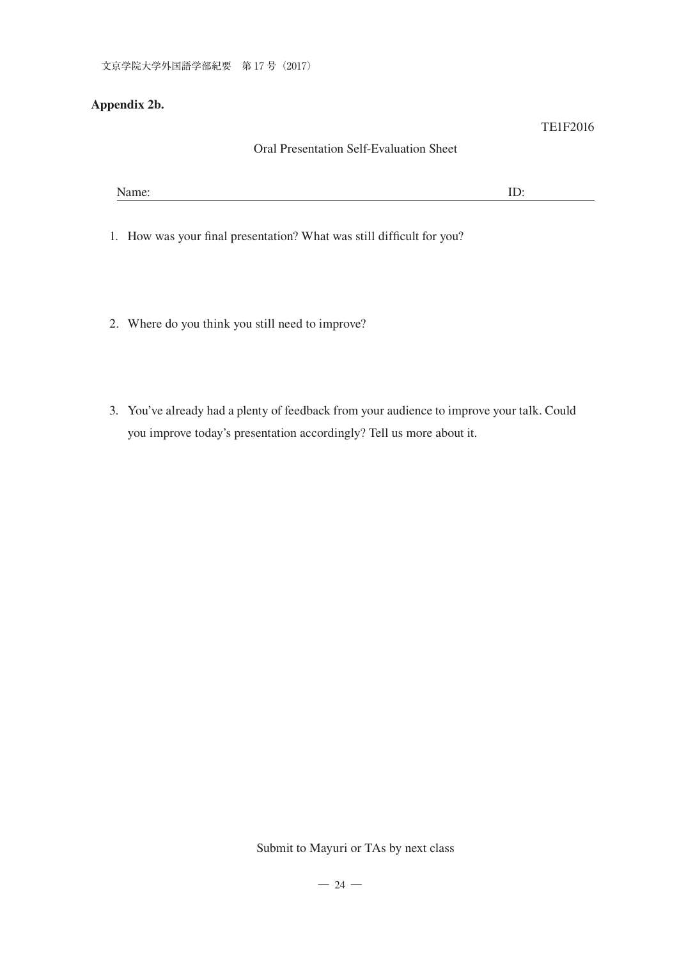## **Appendix 2b.**

## Oral Presentation Self-Evaluation Sheet

TE1F2016

| <b>AT</b><br>- . ----- - . |
|----------------------------|
|----------------------------|

1. How was your final presentation? What was still difficult for you?

- 2. Where do you think you still need to improve?
- 3. You've already had a plenty of feedback from your audience to improve your talk. Could you improve today's presentation accordingly? Tell us more about it.

 $-24-$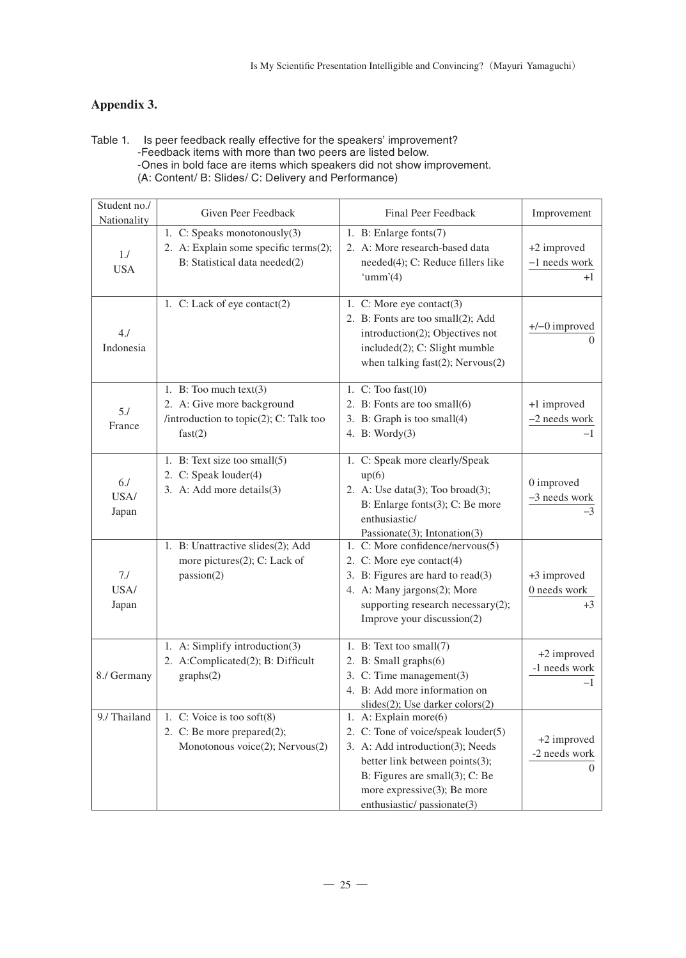## **Appendix 3.**

Table 1. Is peer feedback really effective for the speakers' improvement? -Feedback items with more than two peers are listed below. -Ones in bold face are items which speakers did not show improvement. (A: Content/ B: Slides/ C: Delivery and Performance)

| Student no./<br>Nationality | Given Peer Feedback                                                                                         | Final Peer Feedback                                                                                                                                                                                                               | Improvement                                    |
|-----------------------------|-------------------------------------------------------------------------------------------------------------|-----------------------------------------------------------------------------------------------------------------------------------------------------------------------------------------------------------------------------------|------------------------------------------------|
| 1.1<br><b>USA</b>           | 1. C: Speaks monotonously(3)<br>2. A: Explain some specific terms(2);<br>B: Statistical data needed(2)      | 1. B: Enlarge fonts(7)<br>2. A: More research-based data<br>needed(4); C: Reduce fillers like<br>'umm' $(4)$                                                                                                                      | +2 improved<br>-1 needs work<br>$+1$           |
| 4J<br>Indonesia             | 1. C: Lack of eye contact(2)                                                                                | 1. C: More eye contact(3)<br>2. B: Fonts are too small(2); Add<br>introduction(2); Objectives not<br>included(2); C: Slight mumble<br>when talking fast(2); Nervous(2)                                                            | $+/-0$ improved<br>$\Omega$                    |
| 5.1<br>France               | 1. B: Too much $text(3)$<br>2. A: Give more background<br>/introduction to topic(2); C: Talk too<br>fast(2) | 1. $C:$ Too fast $(10)$<br>2. B: Fonts are too small(6)<br>3. B: Graph is too small(4)<br>4. B: Wordy $(3)$                                                                                                                       | +1 improved<br>-2 needs work<br>$-1$           |
| 6J<br>USA/<br>Japan         | 1. B: Text size too small(5)<br>2. C: Speak louder(4)<br>3. A: Add more details(3)                          | 1. C: Speak more clearly/Speak<br>up(6)<br>2. A: Use data $(3)$ ; Too broad $(3)$ ;<br>B: Enlarge fonts(3); C: Be more<br>enthusiastic/<br>Passionate(3); Intonation(3)                                                           | 0 improved<br>-3 needs work<br>-3              |
| 7.1<br>USA/<br>Japan        | 1. B: Unattractive slides(2); Add<br>more pictures(2); C: Lack of<br>passion(2)                             | 1. C: More confidence/nervous(5)<br>2. C: More eye contact(4)<br>3. B: Figures are hard to read(3)<br>4. A: Many jargons(2); More<br>supporting research necessary $(2)$ ;<br>Improve your discussion(2)                          | +3 improved<br>0 needs work<br>$+3$            |
| 8./ Germany                 | 1. A: Simplify introduction(3)<br>2. A:Complicated(2); B: Difficult<br>graphs(2)                            | 1. B: Text too small(7)<br>2. B: Small graphs(6)<br>3. C: Time management(3)<br>4. B: Add more information on<br>slides(2); Use darker colors(2)                                                                                  | +2 improved<br>-1 needs work<br>$-1$           |
| 9./ Thailand                | 1. C: Voice is too soft(8)<br>2. C: Be more prepared(2);<br>Monotonous voice(2); Nervous(2)                 | 1. A: Explain more(6)<br>2. C: Tone of voice/speak louder(5)<br>3. A: Add introduction(3); Needs<br>better link between points(3);<br>B: Figures are small(3); C: Be<br>more expressive(3); Be more<br>enthusiastic/passionate(3) | +2 improved<br>-2 needs work<br>$\overline{0}$ |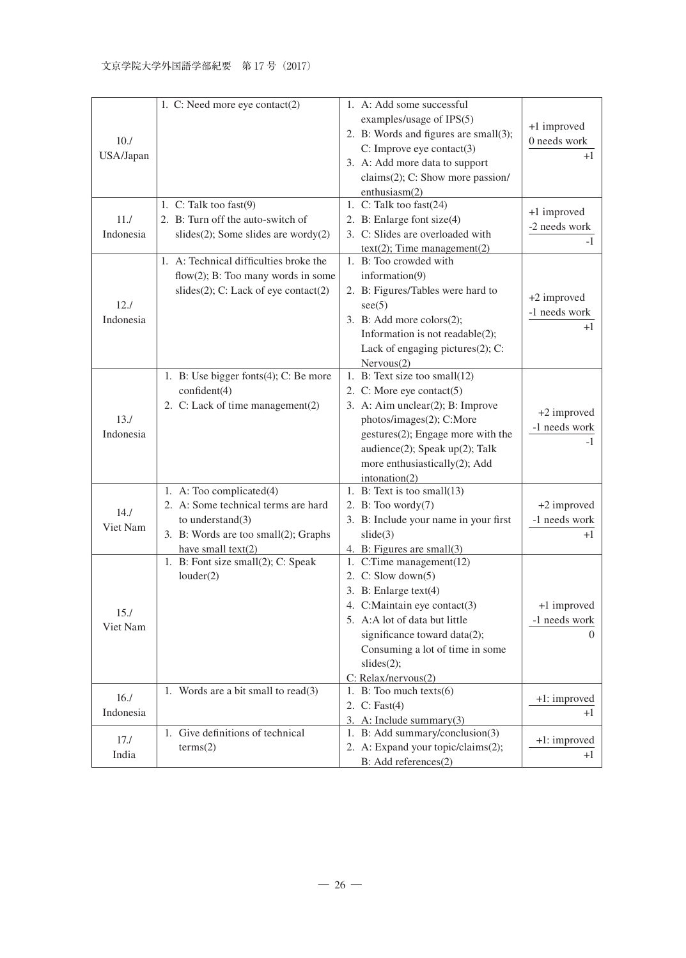|           | 1. C: Need more eye contact(2)            | 1. A: Add some successful             |               |
|-----------|-------------------------------------------|---------------------------------------|---------------|
|           |                                           | examples/usage of IPS(5)              |               |
|           |                                           | 2. B: Words and figures are small(3); | +1 improved   |
| 10.7      |                                           | C: Improve eye contact(3)             | 0 needs work  |
| USA/Japan |                                           | 3. A: Add more data to support        | $+1$          |
|           |                                           | claims(2); C: Show more passion/      |               |
|           |                                           | enthusiasm(2)                         |               |
|           | 1. C: Talk too fast $(9)$                 | 1. C: Talk too fast(24)               |               |
| 11.7      | 2. B: Turn off the auto-switch of         | 2. B: Enlarge font size(4)            | +1 improved   |
| Indonesia | $slides(2)$ ; Some slides are wordy $(2)$ | 3. C: Slides are overloaded with      | -2 needs work |
|           |                                           | $text(2)$ ; Time management(2)        | -1            |
|           | 1. A: Technical difficulties broke the    | 1. B: Too crowded with                |               |
|           | flow $(2)$ ; B: Too many words in some    | information(9)                        |               |
|           | slides(2); C: Lack of eye contact(2)      | 2. B: Figures/Tables were hard to     |               |
| 12.1      |                                           | see (5)                               | +2 improved   |
| Indonesia |                                           | 3. B: Add more colors $(2)$ ;         | -1 needs work |
|           |                                           | Information is not readable(2);       | $^{+1}$       |
|           |                                           | Lack of engaging pictures(2); C:      |               |
|           |                                           | Nervous(2)                            |               |
|           | 1. B: Use bigger fonts(4); C: Be more     | 1. B: Text size too small(12)         |               |
|           | confident(4)                              | 2. C: More eye contact $(5)$          |               |
|           | 2. C: Lack of time management(2)          | 3. A: Aim unclear(2); B: Improve      |               |
| 13.1      |                                           | photos/images(2); C:More              | +2 improved   |
| Indonesia |                                           | gestures(2); Engage more with the     | -1 needs work |
|           |                                           | audience(2); Speak up(2); Talk        | -1            |
|           |                                           | more enthusiastically(2); Add         |               |
|           |                                           | intonation(2)                         |               |
|           | 1. A: Too complicated(4)                  | 1. B: Text is too small(13)           |               |
|           | 2. A: Some technical terms are hard       | 2. B: Too wordy $(7)$                 | +2 improved   |
| 14.1      | to understand $(3)$                       | 3. B: Include your name in your first | -1 needs work |
| Viet Nam  | 3. B: Words are too small(2); Graphs      | slide(3)                              | $+1$          |
|           | have small text(2)                        | 4. B: Figures are small(3)            |               |
|           | 1. B: Font size small(2); C: Speak        | 1. C:Time management(12)              |               |
|           | louder(2)                                 | 2. C: Slow down $(5)$                 |               |
|           |                                           | 3. B: Enlarge $text(4)$               |               |
|           |                                           | 4. C:Maintain eye contact(3)          | +1 improved   |
| 15.1      |                                           | 5. A:A lot of data but little         | -1 needs work |
| Viet Nam  |                                           | significance toward data(2);          | $\left($      |
|           |                                           | Consuming a lot of time in some       |               |
|           |                                           | slides(2);                            |               |
|           |                                           | C: Relax/nervous(2)                   |               |
|           | 1. Words are a bit small to $read(3)$     | 1. B: Too much $text(s)$              |               |
| 16.1      |                                           | 2. C: Fast(4)                         | +1: improved  |
| Indonesia |                                           | 3. A: Include summary $(3)$           | $+1$          |
| 17.1      | 1. Give definitions of technical          | 1. B: Add summary/conclusion(3)       |               |
|           | terms(2)                                  | 2. A: Expand your topic/claims(2);    | +1: improved  |
| India     |                                           | B: Add references(2)                  | $+1$          |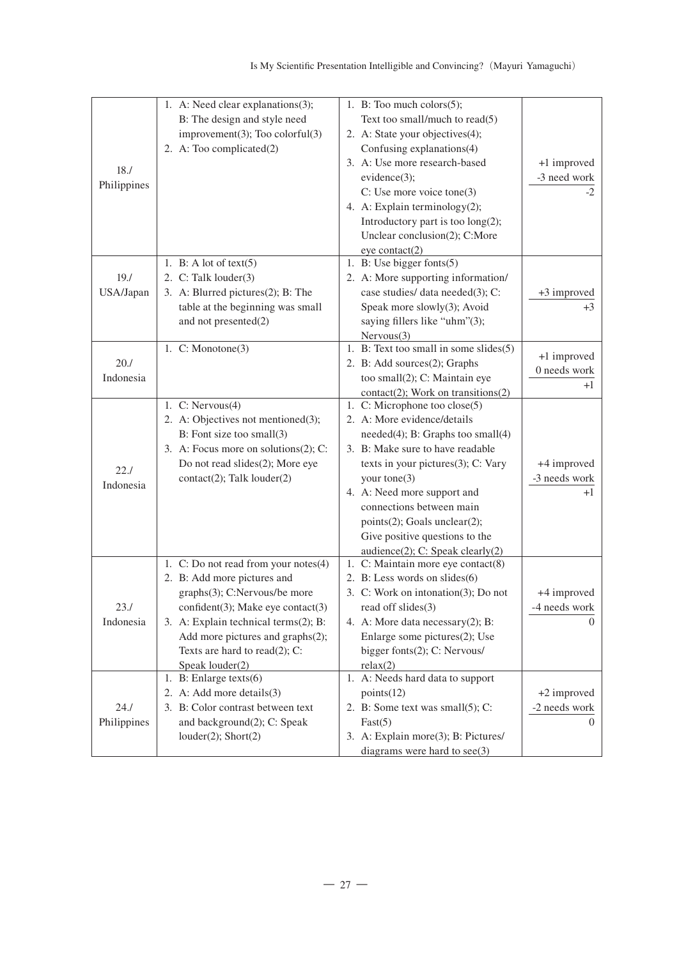| 18.7<br>Philippines | 1. A: Need clear explanations(3);<br>B: The design and style need<br>$improvement(3);$ Too colorful $(3)$<br>2. A: Too complicated(2)                                                                                                                                        | 1. B: Too much colors $(5)$ ;<br>Text too small/much to read(5)<br>2. A: State your objectives(4);<br>Confusing explanations(4)<br>3. A: Use more research-based<br>$evidence(3)$ ;<br>C: Use more voice tone(3)<br>4. A: Explain terminology $(2)$ ;<br>Introductory part is too $\log(2)$ ;<br>Unclear conclusion(2); C:More<br>eye contact(2)                       | +1 improved<br>-3 need work<br>-2        |
|---------------------|------------------------------------------------------------------------------------------------------------------------------------------------------------------------------------------------------------------------------------------------------------------------------|------------------------------------------------------------------------------------------------------------------------------------------------------------------------------------------------------------------------------------------------------------------------------------------------------------------------------------------------------------------------|------------------------------------------|
| 19.7<br>USA/Japan   | 1. B: A lot of text $(5)$<br>2. C: Talk louder(3)<br>3. A: Blurred pictures(2); B: The<br>table at the beginning was small<br>and not presented(2)                                                                                                                           | 1. B: Use bigger fonts(5)<br>2. A: More supporting information/<br>case studies/ data needed(3); C:<br>Speak more slowly(3); Avoid<br>saying fillers like "uhm"(3);<br>Nervous(3)                                                                                                                                                                                      | +3 improved<br>$+3$                      |
| 20.1<br>Indonesia   | 1. $C: Monotone(3)$                                                                                                                                                                                                                                                          | 1. B: Text too small in some slides(5)<br>2. B: Add sources(2); Graphs<br>too small(2); C: Maintain eye<br>$contact(2)$ ; Work on transitions(2)                                                                                                                                                                                                                       | +1 improved<br>0 needs work<br>$+1$      |
| 22.1<br>Indonesia   | 1. $C: Nervous(4)$<br>2. A: Objectives not mentioned(3);<br>B: Font size too small(3)<br>3. A: Focus more on solutions(2); C:<br>Do not read slides(2); More eye<br>$contact(2)$ ; Talk $louder(2)$                                                                          | 1. C: Microphone too close(5)<br>2. A: More evidence/details<br>needed(4); B: Graphs too small(4)<br>3. B: Make sure to have readable<br>texts in your pictures $(3)$ ; C: Vary<br>your tone $(3)$<br>4. A: Need more support and<br>connections between main<br>$points(2)$ ; Goals unclear(2);<br>Give positive questions to the<br>audience(2); C: Speak clearly(2) | +4 improved<br>-3 needs work<br>$+1$     |
| 23.1<br>Indonesia   | 1. C: Do not read from your notes(4)<br>2. B: Add more pictures and<br>graphs(3); C:Nervous/be more<br>confident(3); Make eye contact(3)<br>3. A: Explain technical terms(2); B:<br>Add more pictures and graphs(2);<br>Texts are hard to read $(2)$ ; C:<br>Speak louder(2) | 1. C: Maintain more eye contact(8)<br>2. B: Less words on slides(6)<br>3. C: Work on intonation(3); Do not<br>read off slides(3)<br>4. A: More data necessary(2); B:<br>Enlarge some pictures(2); Use<br>bigger fonts(2); C: Nervous/<br>relax(2)                                                                                                                      | +4 improved<br>-4 needs work<br>$\Omega$ |
| 24.1<br>Philippines | 1. B: Enlarge texts(6)<br>2. A: Add more details(3)<br>3. B: Color contrast between text<br>and background(2); C: Speak<br>$louder(2)$ ; Short $(2)$                                                                                                                         | 1. A: Needs hard data to support<br>points(12)<br>2. B: Some text was small(5); C:<br>Fast(5)<br>3. A: Explain more(3); B: Pictures/<br>diagrams were hard to $see (3)$                                                                                                                                                                                                | +2 improved<br>-2 needs work<br>$\Omega$ |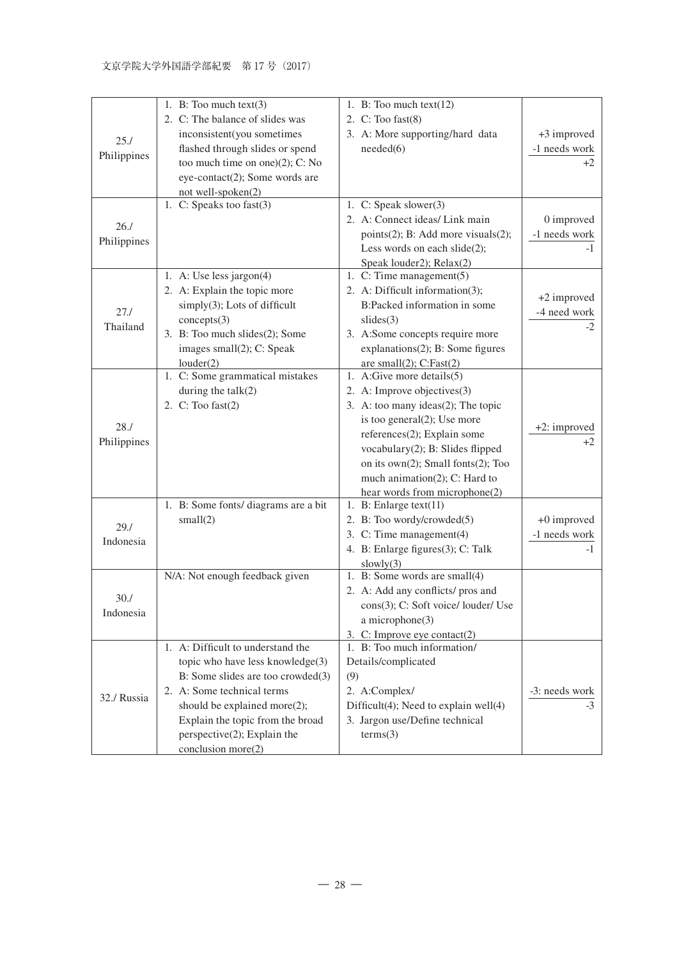| 25.1<br>Philippines | 1. B: Too much $text(3)$<br>2. C: The balance of slides was<br>inconsistent(you sometimes<br>flashed through slides or spend<br>too much time on one) $(2)$ ; C: No<br>eye-contact(2); Some words are                                                                | 1. B: Too much $text(12)$<br>2. $C:$ Too fast $(8)$<br>3. A: More supporting/hard data<br>needed(6)                                                                                                                                                                                                                                | +3 improved<br>-1 needs work<br>$+2$ |
|---------------------|----------------------------------------------------------------------------------------------------------------------------------------------------------------------------------------------------------------------------------------------------------------------|------------------------------------------------------------------------------------------------------------------------------------------------------------------------------------------------------------------------------------------------------------------------------------------------------------------------------------|--------------------------------------|
| 26.1<br>Philippines | not well-spoken(2)<br>1. C: Speaks too fast $(3)$                                                                                                                                                                                                                    | 1. $C: Speak slower(3)$<br>2. A: Connect ideas/ Link main<br>points $(2)$ ; B: Add more visuals $(2)$ ;<br>Less words on each slide(2);<br>Speak louder2); $Relax(2)$                                                                                                                                                              | 0 improved<br>-1 needs work<br>$-1$  |
| 27.1<br>Thailand    | 1. A: Use less jargon(4)<br>2. A: Explain the topic more<br>$simply(3)$ ; Lots of difficult<br>concepts(3)<br>3. B: Too much slides(2); Some<br>images $small(2)$ ; C: Speak<br>louder(2)                                                                            | 1. C: Time management $(5)$<br>2. A: Difficult information(3);<br>B:Packed information in some<br>slides(3)<br>3. A:Some concepts require more<br>$explanations(2)$ ; B: Some figures<br>are small $(2)$ ; C:Fast $(2)$                                                                                                            | +2 improved<br>-4 need work<br>$-2$  |
| 28.1<br>Philippines | 1. C: Some grammatical mistakes<br>during the talk(2)<br>2. $C:$ Too fast $(2)$                                                                                                                                                                                      | 1. A:Give more details $(5)$<br>2. A: Improve objectives(3)<br>3. A: too many ideas $(2)$ ; The topic<br>is too general $(2)$ ; Use more<br>$references(2)$ ; Explain some<br>vocabulary $(2)$ ; B: Slides flipped<br>on its own $(2)$ ; Small fonts $(2)$ ; Too<br>much animation(2); C: Hard to<br>hear words from microphone(2) | +2: improved<br>$+2$                 |
| 29.1<br>Indonesia   | 1. B: Some fonts/ diagrams are a bit<br>small(2)                                                                                                                                                                                                                     | 1. B: Enlarge text(11)<br>2. B: Too wordy/crowded(5)<br>3. C: Time management(4)<br>4. B: Enlarge figures(3); C: Talk<br>slowly(3)                                                                                                                                                                                                 | +0 improved<br>-1 needs work<br>$-1$ |
| 30.7<br>Indonesia   | N/A: Not enough feedback given                                                                                                                                                                                                                                       | 1. B: Some words are small(4)<br>2. A: Add any conflicts/ pros and<br>cons(3); C: Soft voice/ louder/ Use<br>a microphone(3)<br>3. C: Improve eye contact $(2)$                                                                                                                                                                    |                                      |
| 32./ Russia         | 1. A: Difficult to understand the<br>topic who have less knowledge(3)<br>B: Some slides are too crowded(3)<br>2. A: Some technical terms<br>should be explained more(2);<br>Explain the topic from the broad<br>$perspective(2)$ ; Explain the<br>conclusion more(2) | 1. B: Too much information/<br>Details/complicated<br>(9)<br>2. A:Complex/<br>Difficult(4); Need to explain well(4)<br>3. Jargon use/Define technical<br>terms(3)                                                                                                                                                                  | -3: needs work<br>$-3$               |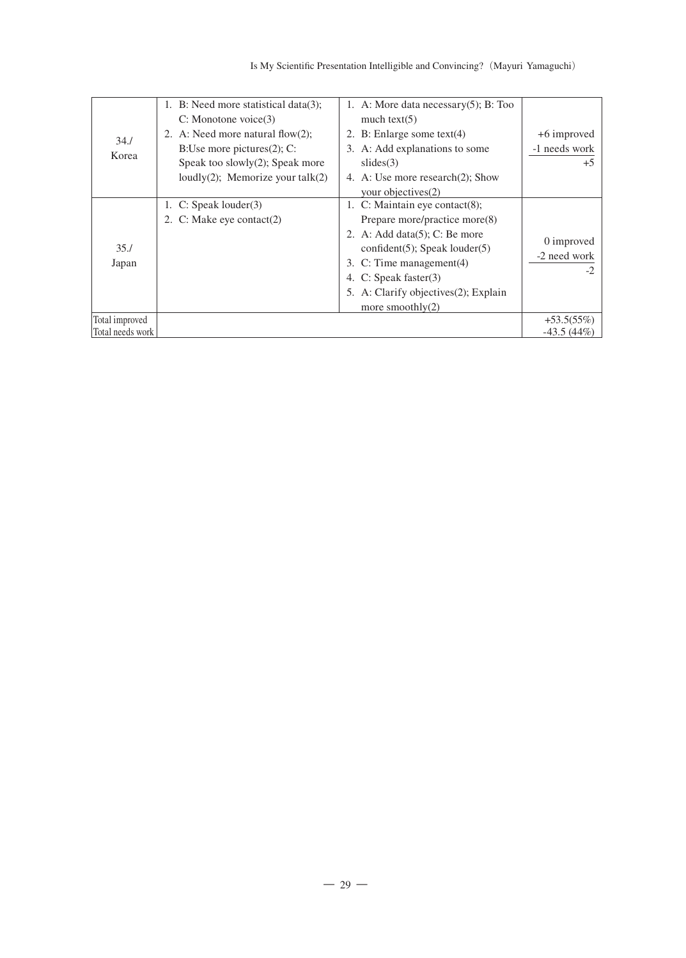|                  | 1. B: Need more statistical data(3);    | 1. A: More data necessary $(5)$ ; B: Too |                      |
|------------------|-----------------------------------------|------------------------------------------|----------------------|
|                  | $C:$ Monotone voice $(3)$               | much $text(5)$                           |                      |
| 34.1             | 2. A: Need more natural flow $(2)$ ;    | 2. B: Enlarge some text $(4)$            | +6 improved          |
| Korea            | B: Use more pictures $(2)$ ; C:         | 3. A: Add explanations to some           | -1 needs work        |
|                  | Speak too slowly $(2)$ ; Speak more     | slides(3)                                | $+5$                 |
|                  | loudly $(2)$ ; Memorize your talk $(2)$ | 4. A: Use more research(2); Show         |                      |
|                  |                                         | your objectives(2)                       |                      |
|                  | 1. $C: Speak Iouder(3)$                 | 1. C: Maintain eye contact $(8)$ ;       |                      |
|                  | 2. C: Make eye contact(2)               | Prepare more/practice more(8)            |                      |
|                  |                                         | 2. A: Add data $(5)$ ; C: Be more        |                      |
| 35.1             |                                         | $confident(5)$ ; Speak louder(5)         | 0 improved           |
| Japan            |                                         | 3. C: Time management(4)                 | -2 need work<br>$-2$ |
|                  |                                         | 4. C: Speak faster(3)                    |                      |
|                  |                                         | 5. A: Clarify objectives (2); Explain    |                      |
|                  |                                         | more smoothly $(2)$                      |                      |
| Total improved   |                                         |                                          | $+53.5(55%)$         |
| Total needs work |                                         |                                          | $-43.5(44%)$         |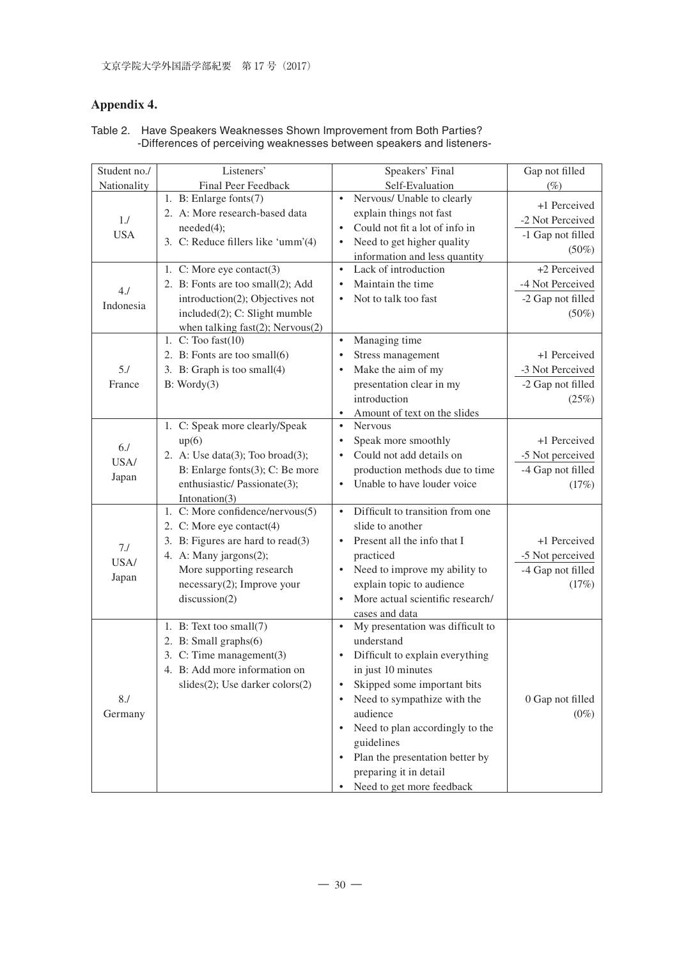# **Appendix 4.**

| Student no./        | Listeners'                                                                                                                                                                                                 | Speakers' Final                                                                                                                                                                                                                                                                                                                                                                                    | Gap not filled                                                    |
|---------------------|------------------------------------------------------------------------------------------------------------------------------------------------------------------------------------------------------------|----------------------------------------------------------------------------------------------------------------------------------------------------------------------------------------------------------------------------------------------------------------------------------------------------------------------------------------------------------------------------------------------------|-------------------------------------------------------------------|
| Nationality         | Final Peer Feedback                                                                                                                                                                                        | Self-Evaluation                                                                                                                                                                                                                                                                                                                                                                                    | $(\%)$                                                            |
| 1.1<br><b>USA</b>   | 1. B: Enlarge fonts(7)<br>2. A: More research-based data<br>needed(4);<br>3. C: Reduce fillers like 'umm'(4)                                                                                               | Nervous/ Unable to clearly<br>$\bullet$<br>explain things not fast<br>Could not fit a lot of info in<br>$\bullet$<br>Need to get higher quality<br>$\bullet$<br>information and less quantity                                                                                                                                                                                                      | +1 Perceived<br>-2 Not Perceived<br>-1 Gap not filled<br>$(50\%)$ |
| 4J<br>Indonesia     | 1. C: More eye contact(3)<br>2. B: Fonts are too small(2); Add<br>introduction(2); Objectives not<br>included(2); C: Slight mumble<br>when talking fast $(2)$ ; Nervous $(2)$                              | Lack of introduction<br>$\bullet$<br>Maintain the time<br>$\bullet$<br>Not to talk too fast<br>$\bullet$                                                                                                                                                                                                                                                                                           | +2 Perceived<br>-4 Not Perceived<br>-2 Gap not filled<br>$(50\%)$ |
| 5.1<br>France       | 1. $C:$ Too fast $(10)$<br>2. B: Fonts are too small(6)<br>3. B: Graph is too small(4)<br>B: Wordy(3)                                                                                                      | Managing time<br>$\bullet$<br>Stress management<br>$\bullet$<br>Make the aim of my<br>$\bullet$<br>presentation clear in my<br>introduction<br>$\bullet$<br>Amount of text on the slides                                                                                                                                                                                                           | +1 Perceived<br>-3 Not Perceived<br>-2 Gap not filled<br>(25%)    |
| 6J<br>USA/<br>Japan | 1. C: Speak more clearly/Speak<br>up(6)<br>2. A: Use data $(3)$ ; Too broad $(3)$ ;<br>B: Enlarge fonts(3); C: Be more<br>enthusiastic/Passionate(3);<br>Intonation(3)                                     | <b>Nervous</b><br>$\bullet$<br>Speak more smoothly<br>$\bullet$<br>Could not add details on<br>$\bullet$<br>production methods due to time<br>Unable to have louder voice<br>$\bullet$                                                                                                                                                                                                             | +1 Perceived<br>-5 Not perceived<br>-4 Gap not filled<br>(17%)    |
| 7J<br>USA/<br>Japan | 1. C: More confidence/nervous(5)<br>2. C: More eye contact(4)<br>3. B: Figures are hard to read(3)<br>4. A: Many jargons(2);<br>More supporting research<br>$necessary(2)$ ; Improve your<br>discussion(2) | Difficult to transition from one<br>$\bullet$<br>slide to another<br>Present all the info that I<br>$\bullet$<br>practiced<br>Need to improve my ability to<br>$\bullet$<br>explain topic to audience<br>More actual scientific research/<br>$\bullet$<br>cases and data                                                                                                                           | +1 Perceived<br>-5 Not perceived<br>-4 Gap not filled<br>(17%)    |
| 8.1<br>Germany      | 1. B: Text too small(7)<br>2. B: Small graphs(6)<br>3. C: Time management(3)<br>4. B: Add more information on<br>$slides(2)$ ; Use darker colors $(2)$                                                     | My presentation was difficult to<br>$\bullet$<br>understand<br>Difficult to explain everything<br>$\bullet$<br>in just 10 minutes<br>Skipped some important bits<br>$\bullet$<br>Need to sympathize with the<br>$\bullet$<br>audience<br>Need to plan accordingly to the<br>$\bullet$<br>guidelines<br>Plan the presentation better by<br>٠<br>preparing it in detail<br>Need to get more feedback | 0 Gap not filled<br>$(0\%)$                                       |

#### Table 2. Have Speakers Weaknesses Shown Improvement from Both Parties? -Differences of perceiving weaknesses between speakers and listeners-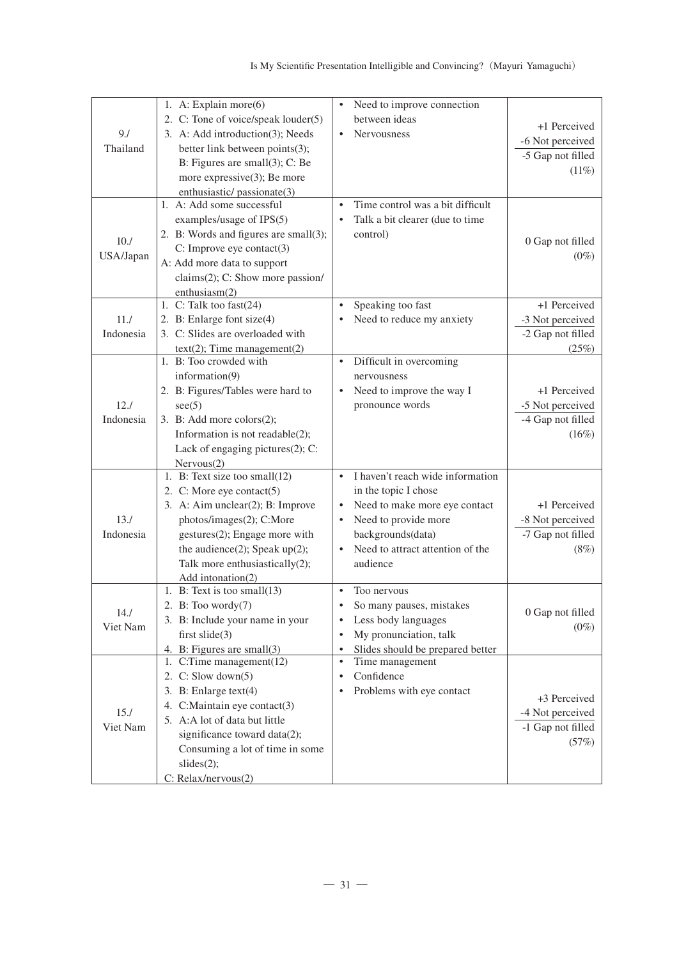| 9.1<br>Thailand<br>10.7<br>USA/Japan | 1. A: Explain more $(6)$<br>2. C: Tone of voice/speak louder(5)<br>3. A: Add introduction(3); Needs<br>better link between points(3);<br>B: Figures are small $(3)$ ; C: Be<br>more expressive $(3)$ ; Be more<br>enthusiastic/passionate(3)<br>1. A: Add some successful<br>examples/usage of IPS(5)<br>2. B: Words and figures are small(3);<br>$C:$ Improve eye contact $(3)$<br>A: Add more data to support<br>claims(2); C: Show more passion/<br>enthusiasm(2) | Need to improve connection<br>$\bullet$<br>between ideas<br><b>Nervousness</b><br>Time control was a bit difficult<br>$\bullet$<br>Talk a bit clearer (due to time<br>$\bullet$<br>control)                                   | +1 Perceived<br>-6 Not perceived<br>-5 Gap not filled<br>(11%)<br>0 Gap not filled<br>$(0\%)$ |
|--------------------------------------|----------------------------------------------------------------------------------------------------------------------------------------------------------------------------------------------------------------------------------------------------------------------------------------------------------------------------------------------------------------------------------------------------------------------------------------------------------------------|-------------------------------------------------------------------------------------------------------------------------------------------------------------------------------------------------------------------------------|-----------------------------------------------------------------------------------------------|
| 11.7<br>Indonesia                    | 1. C: Talk too fast(24)<br>2. B: Enlarge font size(4)<br>3. C: Slides are overloaded with<br>$text(2)$ ; Time management(2)                                                                                                                                                                                                                                                                                                                                          | Speaking too fast<br>$\bullet$<br>Need to reduce my anxiety                                                                                                                                                                   | +1 Perceived<br>-3 Not perceived<br>-2 Gap not filled<br>(25%)                                |
| 12.1<br>Indonesia                    | 1. B: Too crowded with<br>information $(9)$<br>2. B: Figures/Tables were hard to<br>see (5)<br>3. B: Add more colors $(2)$ ;<br>Information is not readable $(2)$ ;<br>Lack of engaging pictures(2); C:<br>Nervous(2)                                                                                                                                                                                                                                                | Difficult in overcoming<br>$\bullet$<br>nervousness<br>Need to improve the way I<br>$\bullet$<br>pronounce words                                                                                                              | +1 Perceived<br>-5 Not perceived<br>-4 Gap not filled<br>(16%)                                |
| 13.1<br>Indonesia                    | 1. B: Text size too small $(12)$<br>2. C: More eye contact $(5)$<br>3. A: Aim unclear(2); B: Improve<br>photos/images(2); C:More<br>gestures(2); Engage more with<br>the audience $(2)$ ; Speak up $(2)$ ;<br>Talk more enthusiastically(2);<br>Add intonation(2)                                                                                                                                                                                                    | I haven't reach wide information<br>$\bullet$<br>in the topic I chose<br>Need to make more eye contact<br>$\bullet$<br>Need to provide more<br>$\bullet$<br>backgrounds(data)<br>Need to attract attention of the<br>audience | +1 Perceived<br>-8 Not perceived<br>-7 Gap not filled<br>(8%)                                 |
| 14.1<br>Viet Nam                     | 1. B: Text is too small(13)<br>2. B: Too wordy $(7)$<br>3. B: Include your name in your<br>first slide $(3)$<br>4. B: Figures are small(3)                                                                                                                                                                                                                                                                                                                           | $\bullet$<br>Too nervous<br>So many pauses, mistakes<br>$\bullet$<br>Less body languages<br>٠<br>My pronunciation, talk<br>$\bullet$<br>Slides should be prepared better<br>$\bullet$                                         | 0 Gap not filled<br>$(0\%)$                                                                   |
| 15.1<br>Viet Nam                     | 1. C:Time management $(12)$<br>2. C: Slow down $(5)$<br>3. B: Enlarge $text(4)$<br>4. C:Maintain eye contact(3)<br>5. A:A lot of data but little<br>significance toward data(2);<br>Consuming a lot of time in some<br>slides(2);<br>C: Relax/nervous(2)                                                                                                                                                                                                             | Time management<br>$\bullet$<br>Confidence<br>Problems with eye contact                                                                                                                                                       | +3 Perceived<br>-4 Not perceived<br>-1 Gap not filled<br>(57%)                                |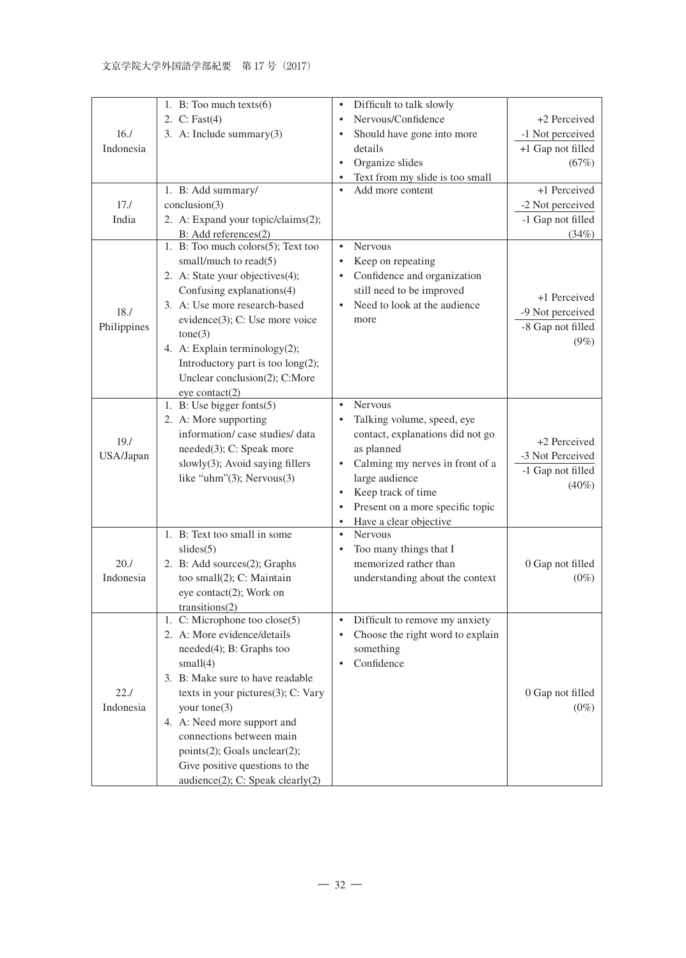|             | 1. B: Too much texts $(6)$         | Difficult to talk slowly<br>$\bullet$         |                             |
|-------------|------------------------------------|-----------------------------------------------|-----------------------------|
|             | 2. C: Fast(4)                      | Nervous/Confidence<br>$\bullet$               | +2 Perceived                |
| 16.1        | 3. A: Include summary(3)           | Should have gone into more<br>٠               | -1 Not perceived            |
| Indonesia   |                                    | details                                       | +1 Gap not filled           |
|             |                                    | Organize slides<br>$\bullet$                  | (67%)                       |
|             |                                    | Text from my slide is too small<br>٠          |                             |
|             | 1. B: Add summary/                 | Add more content<br>$\bullet$                 | +1 Perceived                |
| 17.1        | conclusion(3)                      |                                               | -2 Not perceived            |
| India       | 2. A: Expand your topic/claims(2); |                                               | -1 Gap not filled           |
|             | B: Add references(2)               |                                               | (34%)                       |
|             | 1. B: Too much colors(5); Text too | <b>Nervous</b><br>$\bullet$                   |                             |
|             | small/much to read(5)              | Keep on repeating<br>$\bullet$                |                             |
|             | 2. A: State your objectives(4);    | Confidence and organization<br>$\bullet$      |                             |
|             | Confusing explanations(4)          | still need to be improved                     |                             |
|             | 3. A: Use more research-based      | Need to look at the audience<br>$\bullet$     | +1 Perceived                |
| 18.7        | evidence(3); C: Use more voice     | more                                          | -9 Not perceived            |
| Philippines | cone(3)                            |                                               | -8 Gap not filled           |
|             | 4. A: Explain terminology(2);      |                                               | $(9\%)$                     |
|             | Introductory part is too long(2);  |                                               |                             |
|             | Unclear conclusion(2); C:More      |                                               |                             |
|             | eye contact(2)                     |                                               |                             |
|             | 1. B: Use bigger fonts(5)          | <b>Nervous</b><br>$\bullet$                   |                             |
|             | 2. A: More supporting              | Talking volume, speed, eye<br>$\bullet$       |                             |
|             | information/case studies/data      | contact, explanations did not go              |                             |
| 19.7        | needed(3); C: Speak more           | as planned                                    | +2 Perceived                |
| USA/Japan   | slowly(3); Avoid saying fillers    | Calming my nerves in front of a<br>$\bullet$  | -3 Not Perceived            |
|             | like "uhm" $(3)$ ; Nervous $(3)$   | large audience                                | -1 Gap not filled           |
|             |                                    | Keep track of time<br>$\bullet$               | $(40\%)$                    |
|             |                                    | Present on a more specific topic<br>$\bullet$ |                             |
|             |                                    | Have a clear objective<br>$\bullet$           |                             |
|             | 1. B: Text too small in some       | Nervous<br>$\bullet$                          |                             |
|             | slides(5)                          | Too many things that I<br>٠                   |                             |
| 20.1        | 2. B: Add sources(2); Graphs       | memorized rather than                         | 0 Gap not filled            |
| Indonesia   | too small(2); C: Maintain          | understanding about the context               | $(0\%)$                     |
|             | eye contact $(2)$ ; Work on        |                                               |                             |
|             | transitions(2)                     |                                               |                             |
|             | 1. C: Microphone too $close(5)$    | Difficult to remove my anxiety<br>$\bullet$   |                             |
|             | 2. A: More evidence/details        | Choose the right word to explain<br>$\bullet$ |                             |
|             | needed(4); B: Graphs too           | something                                     |                             |
|             | small(4)                           | Confidence<br>$\bullet$                       |                             |
|             | 3. B: Make sure to have readable   |                                               |                             |
| 22.1        |                                    |                                               |                             |
| Indonesia   | texts in your pictures(3); C: Vary |                                               | 0 Gap not filled<br>$(0\%)$ |
|             | your tone(3)                       |                                               |                             |
|             | 4. A: Need more support and        |                                               |                             |
|             | connections between main           |                                               |                             |
|             | points(2); Goals unclear(2);       |                                               |                             |
|             | Give positive questions to the     |                                               |                             |
|             | audience(2); C: Speak clearly(2)   |                                               |                             |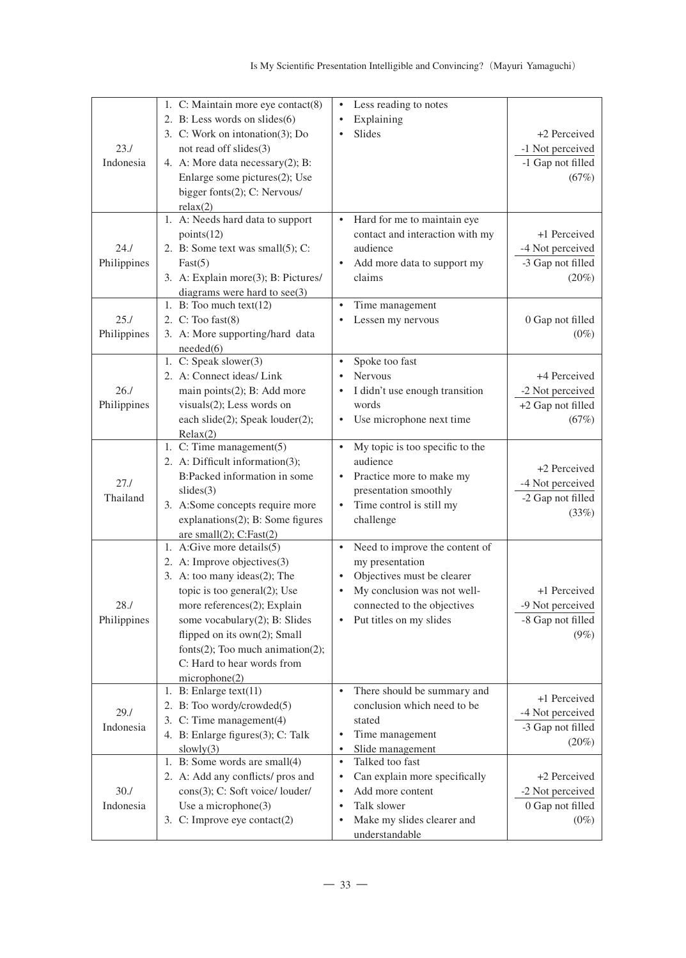| 23.1<br>Indonesia   | 1. C: Maintain more eye contact(8)<br>2. B: Less words on slides(6)<br>3. C: Work on intonation(3); Do<br>not read off slides(3)<br>4. A: More data necessary(2); B:<br>Enlarge some pictures(2); Use<br>bigger fonts(2); C: Nervous/<br>relax(2)                                                                   | Less reading to notes<br>٠<br>Explaining<br>Slides                                                                                                                                                              | +2 Perceived<br>-1 Not perceived<br>-1 Gap not filled<br>(67%)    |
|---------------------|---------------------------------------------------------------------------------------------------------------------------------------------------------------------------------------------------------------------------------------------------------------------------------------------------------------------|-----------------------------------------------------------------------------------------------------------------------------------------------------------------------------------------------------------------|-------------------------------------------------------------------|
| 24.1<br>Philippines | 1. A: Needs hard data to support<br>points(12)<br>2. B: Some text was small(5); C:<br>Fast(5)<br>3. A: Explain more(3); B: Pictures/<br>diagrams were hard to see(3)<br>1. B: Too much $text(12)$                                                                                                                   | Hard for me to maintain eye<br>$\bullet$<br>contact and interaction with my<br>audience<br>$\bullet$<br>Add more data to support my<br>claims<br>Time management<br>$\bullet$                                   | +1 Perceived<br>-4 Not perceived<br>-3 Gap not filled<br>$(20\%)$ |
| 25.1<br>Philippines | 2. $C:$ Too fast $(8)$<br>3. A: More supporting/hard data<br>needed(6)                                                                                                                                                                                                                                              | Lessen my nervous                                                                                                                                                                                               | 0 Gap not filled<br>$(0\%)$                                       |
| 26.1<br>Philippines | 1. C: Speak slower(3)<br>2. A: Connect ideas/ Link<br>main points(2); B: Add more<br>visuals(2); Less words on<br>each slide(2); Speak louder(2);<br>Relax(2)                                                                                                                                                       | Spoke too fast<br>$\bullet$<br><b>Nervous</b><br>$\bullet$<br>I didn't use enough transition<br>٠<br>words<br>Use microphone next time<br>٠                                                                     | +4 Perceived<br>-2 Not perceived<br>+2 Gap not filled<br>(67%)    |
| 27.1<br>Thailand    | 1. C: Time management(5)<br>2. A: Difficult information(3);<br>B:Packed information in some<br>slides(3)<br>3. A:Some concepts require more<br>explanations(2); B: Some figures<br>are small $(2)$ ; C:Fast $(2)$                                                                                                   | My topic is too specific to the<br>$\bullet$<br>audience<br>Practice more to make my<br>$\bullet$<br>presentation smoothly<br>Time control is still my<br>$\bullet$<br>challenge                                | +2 Perceived<br>-4 Not perceived<br>-2 Gap not filled<br>(33%)    |
| 28.1<br>Philippines | 1. A:Give more details(5)<br>2. A: Improve objectives(3)<br>3. A: too many ideas(2); The<br>topic is too general(2); Use<br>more references(2); Explain<br>some vocabulary(2); B: Slides<br>flipped on its own(2); Small<br>fonts $(2)$ ; Too much animation $(2)$ ;<br>C: Hard to hear words from<br>microphone(2) | Need to improve the content of<br>$\bullet$<br>my presentation<br>Objectives must be clearer<br>$\bullet$<br>My conclusion was not well-<br>$\bullet$<br>connected to the objectives<br>Put titles on my slides | +1 Perceived<br>-9 Not perceived<br>-8 Gap not filled<br>$(9\%)$  |
| 29.1<br>Indonesia   | 1. B: Enlarge $text(11)$<br>2. B: Too wordy/crowded(5)<br>3. C: Time management(4)<br>4. B: Enlarge figures(3); C: Talk<br>slowly(3)                                                                                                                                                                                | There should be summary and<br>$\bullet$<br>conclusion which need to be<br>stated<br>Time management<br>٠<br>Slide management<br>$\bullet$                                                                      | +1 Perceived<br>-4 Not perceived<br>-3 Gap not filled<br>$(20\%)$ |
| 30.7<br>Indonesia   | 1. B: Some words are small(4)<br>2. A: Add any conflicts/ pros and<br>cons(3); C: Soft voice/ louder/<br>Use a microphone(3)<br>3. C: Improve eye contact(2)                                                                                                                                                        | $\bullet$<br>Talked too fast<br>Can explain more specifically<br>$\bullet$<br>Add more content<br>٠<br>Talk slower<br>٠<br>Make my slides clearer and<br>٠<br>understandable                                    | +2 Perceived<br>-2 Not perceived<br>0 Gap not filled<br>$(0\%)$   |